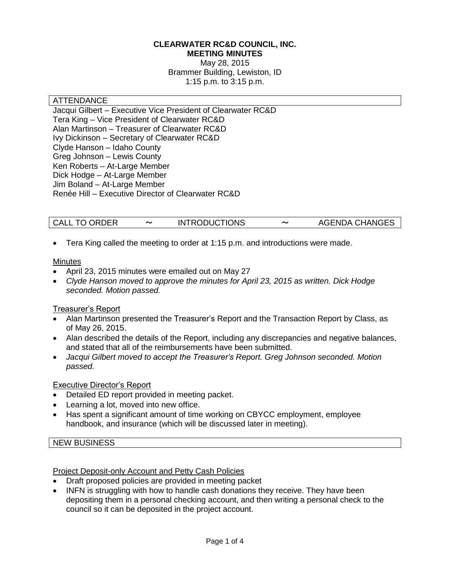#### **CLEARWATER RC&D COUNCIL, INC. MEETING MINUTES**

May 28, 2015 Brammer Building, Lewiston, ID 1:15 p.m. to 3:15 p.m.

#### ATTENDANCE

Jacqui Gilbert – Executive Vice President of Clearwater RC&D Tera King – Vice President of Clearwater RC&D Alan Martinson – Treasurer of Clearwater RC&D Ivy Dickinson – Secretary of Clearwater RC&D Clyde Hanson – Idaho County Greg Johnson – Lewis County Ken Roberts – At-Large Member Dick Hodge – At-Large Member Jim Boland – At-Large Member Renée Hill – Executive Director of Clearwater RC&D

## CALL TO ORDER 〜 INTRODUCTIONS 〜 AGENDA CHANGES

Tera King called the meeting to order at 1:15 p.m. and introductions were made.

#### **Minutes**

- April 23, 2015 minutes were emailed out on May 27
- *Clyde Hanson moved to approve the minutes for April 23, 2015 as written. Dick Hodge seconded. Motion passed.*

#### Treasurer's Report

- Alan Martinson presented the Treasurer's Report and the Transaction Report by Class, as of May 26, 2015.
- Alan described the details of the Report, including any discrepancies and negative balances, and stated that all of the reimbursements have been submitted.
- *Jacqui Gilbert moved to accept the Treasurer's Report. Greg Johnson seconded. Motion passed.*

#### Executive Director's Report

- Detailed ED report provided in meeting packet.
- Learning a lot, moved into new office.
- Has spent a significant amount of time working on CBYCC employment, employee handbook, and insurance (which will be discussed later in meeting).

#### NEW BUSINESS

#### Project Deposit-only Account and Petty Cash Policies

- Draft proposed policies are provided in meeting packet
- INFN is struggling with how to handle cash donations they receive. They have been depositing them in a personal checking account, and then writing a personal check to the council so it can be deposited in the project account.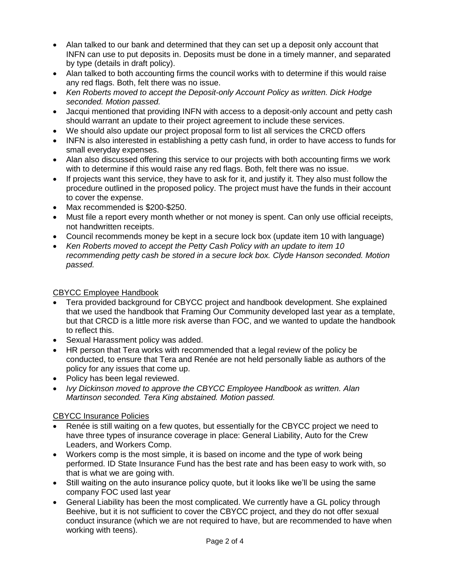- Alan talked to our bank and determined that they can set up a deposit only account that INFN can use to put deposits in. Deposits must be done in a timely manner, and separated by type (details in draft policy).
- Alan talked to both accounting firms the council works with to determine if this would raise any red flags. Both, felt there was no issue.
- *Ken Roberts moved to accept the Deposit-only Account Policy as written. Dick Hodge seconded. Motion passed.*
- Jacqui mentioned that providing INFN with access to a deposit-only account and petty cash should warrant an update to their project agreement to include these services.
- We should also update our project proposal form to list all services the CRCD offers
- INFN is also interested in establishing a petty cash fund, in order to have access to funds for small everyday expenses.
- Alan also discussed offering this service to our projects with both accounting firms we work with to determine if this would raise any red flags. Both, felt there was no issue.
- If projects want this service, they have to ask for it, and justify it. They also must follow the procedure outlined in the proposed policy. The project must have the funds in their account to cover the expense.
- Max recommended is \$200-\$250.
- Must file a report every month whether or not money is spent. Can only use official receipts, not handwritten receipts.
- Council recommends money be kept in a secure lock box (update item 10 with language)
- *Ken Roberts moved to accept the Petty Cash Policy with an update to item 10 recommending petty cash be stored in a secure lock box. Clyde Hanson seconded. Motion passed.*

#### CBYCC Employee Handbook

- Tera provided background for CBYCC project and handbook development. She explained that we used the handbook that Framing Our Community developed last year as a template, but that CRCD is a little more risk averse than FOC, and we wanted to update the handbook to reflect this.
- Sexual Harassment policy was added.
- HR person that Tera works with recommended that a legal review of the policy be conducted, to ensure that Tera and Renée are not held personally liable as authors of the policy for any issues that come up.
- Policy has been legal reviewed.
- *Ivy Dickinson moved to approve the CBYCC Employee Handbook as written. Alan Martinson seconded. Tera King abstained. Motion passed.*

#### CBYCC Insurance Policies

- Renée is still waiting on a few quotes, but essentially for the CBYCC project we need to have three types of insurance coverage in place: General Liability, Auto for the Crew Leaders, and Workers Comp.
- Workers comp is the most simple, it is based on income and the type of work being performed. ID State Insurance Fund has the best rate and has been easy to work with, so that is what we are going with.
- Still waiting on the auto insurance policy quote, but it looks like we'll be using the same company FOC used last year
- General Liability has been the most complicated. We currently have a GL policy through Beehive, but it is not sufficient to cover the CBYCC project, and they do not offer sexual conduct insurance (which we are not required to have, but are recommended to have when working with teens).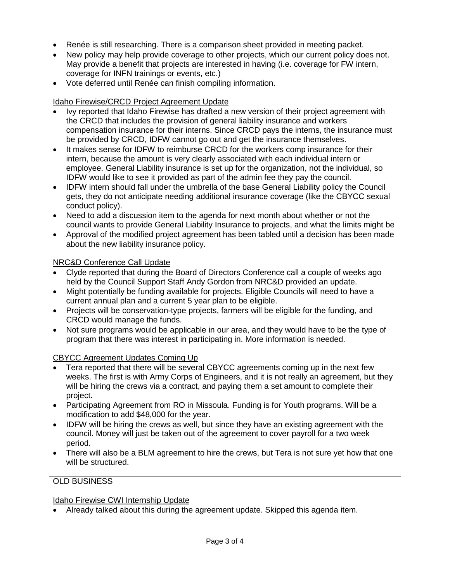- Renée is still researching. There is a comparison sheet provided in meeting packet.
- New policy may help provide coverage to other projects, which our current policy does not. May provide a benefit that projects are interested in having (i.e. coverage for FW intern, coverage for INFN trainings or events, etc.)
- Vote deferred until Renée can finish compiling information.

#### Idaho Firewise/CRCD Project Agreement Update

- Ivy reported that Idaho Firewise has drafted a new version of their project agreement with the CRCD that includes the provision of general liability insurance and workers compensation insurance for their interns. Since CRCD pays the interns, the insurance must be provided by CRCD, IDFW cannot go out and get the insurance themselves.
- It makes sense for IDFW to reimburse CRCD for the workers comp insurance for their intern, because the amount is very clearly associated with each individual intern or employee. General Liability insurance is set up for the organization, not the individual, so IDFW would like to see it provided as part of the admin fee they pay the council.
- IDFW intern should fall under the umbrella of the base General Liability policy the Council gets, they do not anticipate needing additional insurance coverage (like the CBYCC sexual conduct policy).
- Need to add a discussion item to the agenda for next month about whether or not the council wants to provide General Liability Insurance to projects, and what the limits might be
- Approval of the modified project agreement has been tabled until a decision has been made about the new liability insurance policy.

## NRC&D Conference Call Update

- Clyde reported that during the Board of Directors Conference call a couple of weeks ago held by the Council Support Staff Andy Gordon from NRC&D provided an update.
- Might potentially be funding available for projects. Eligible Councils will need to have a current annual plan and a current 5 year plan to be eligible.
- Projects will be conservation-type projects, farmers will be eligible for the funding, and CRCD would manage the funds.
- Not sure programs would be applicable in our area, and they would have to be the type of program that there was interest in participating in. More information is needed.

#### CBYCC Agreement Updates Coming Up

- Tera reported that there will be several CBYCC agreements coming up in the next few weeks. The first is with Army Corps of Engineers, and it is not really an agreement, but they will be hiring the crews via a contract, and paying them a set amount to complete their project.
- Participating Agreement from RO in Missoula. Funding is for Youth programs. Will be a modification to add \$48,000 for the year.
- IDFW will be hiring the crews as well, but since they have an existing agreement with the council. Money will just be taken out of the agreement to cover payroll for a two week period.
- There will also be a BLM agreement to hire the crews, but Tera is not sure yet how that one will be structured.

#### OLD BUSINESS

#### Idaho Firewise CWI Internship Update

Already talked about this during the agreement update. Skipped this agenda item.